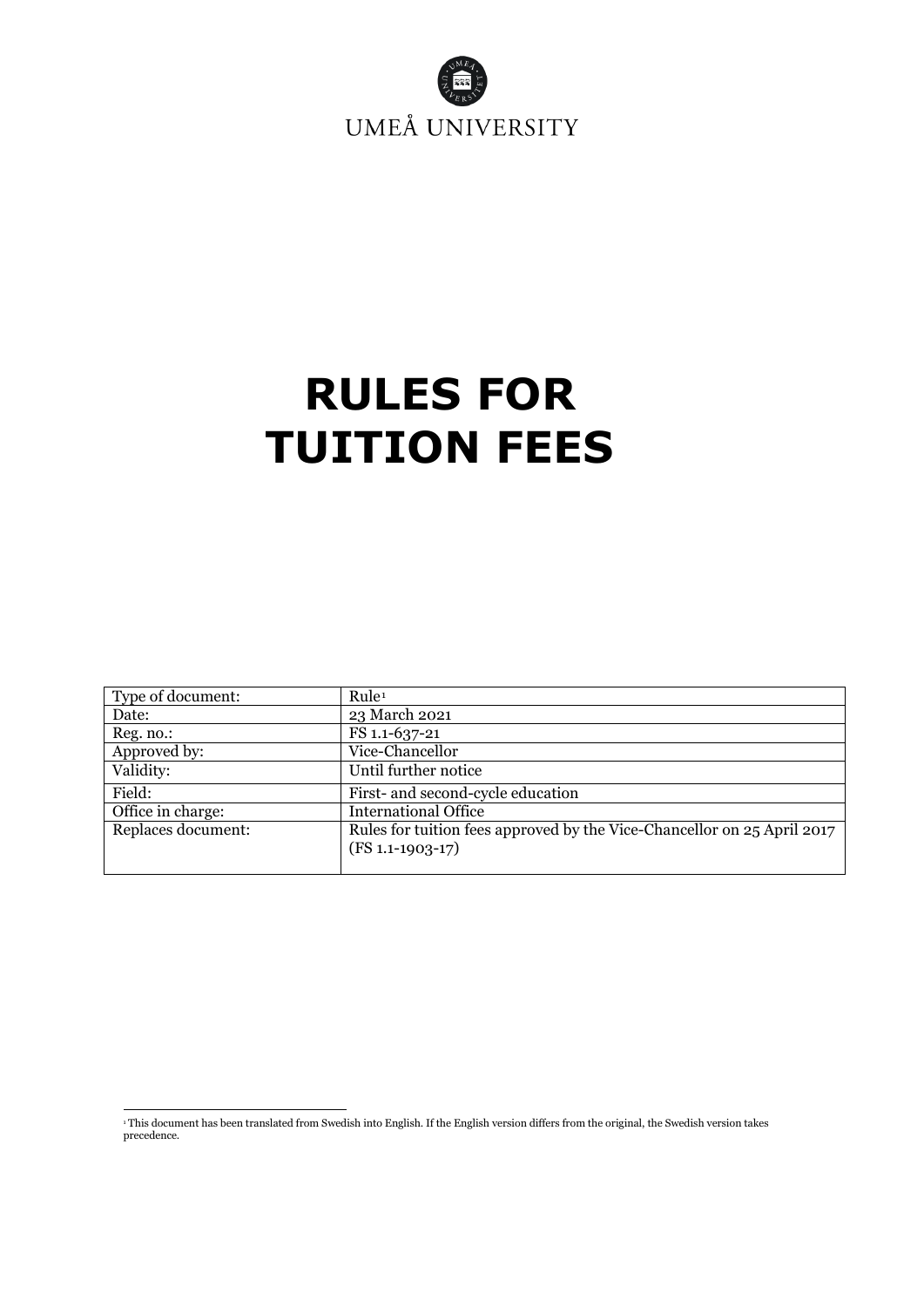

# <span id="page-0-1"></span>**RULES FOR TUITION FEES**

| Type of document:  | Rule <sup>1</sup>                                                                             |
|--------------------|-----------------------------------------------------------------------------------------------|
| Date:              | 23 March 2021                                                                                 |
| Reg. no.:          | FS 1.1-637-21                                                                                 |
| Approved by:       | Vice-Chancellor                                                                               |
| Validity:          | Until further notice                                                                          |
| Field:             | First- and second-cycle education                                                             |
| Office in charge:  | <b>International Office</b>                                                                   |
| Replaces document: | Rules for tuition fees approved by the Vice-Chancellor on 25 April 2017<br>$(FS 1.1-1903-17)$ |

<span id="page-0-0"></span><sup>1</sup> This document has been translated from Swedish into English. If the English version differs from the original, the Swedish version takes precedence.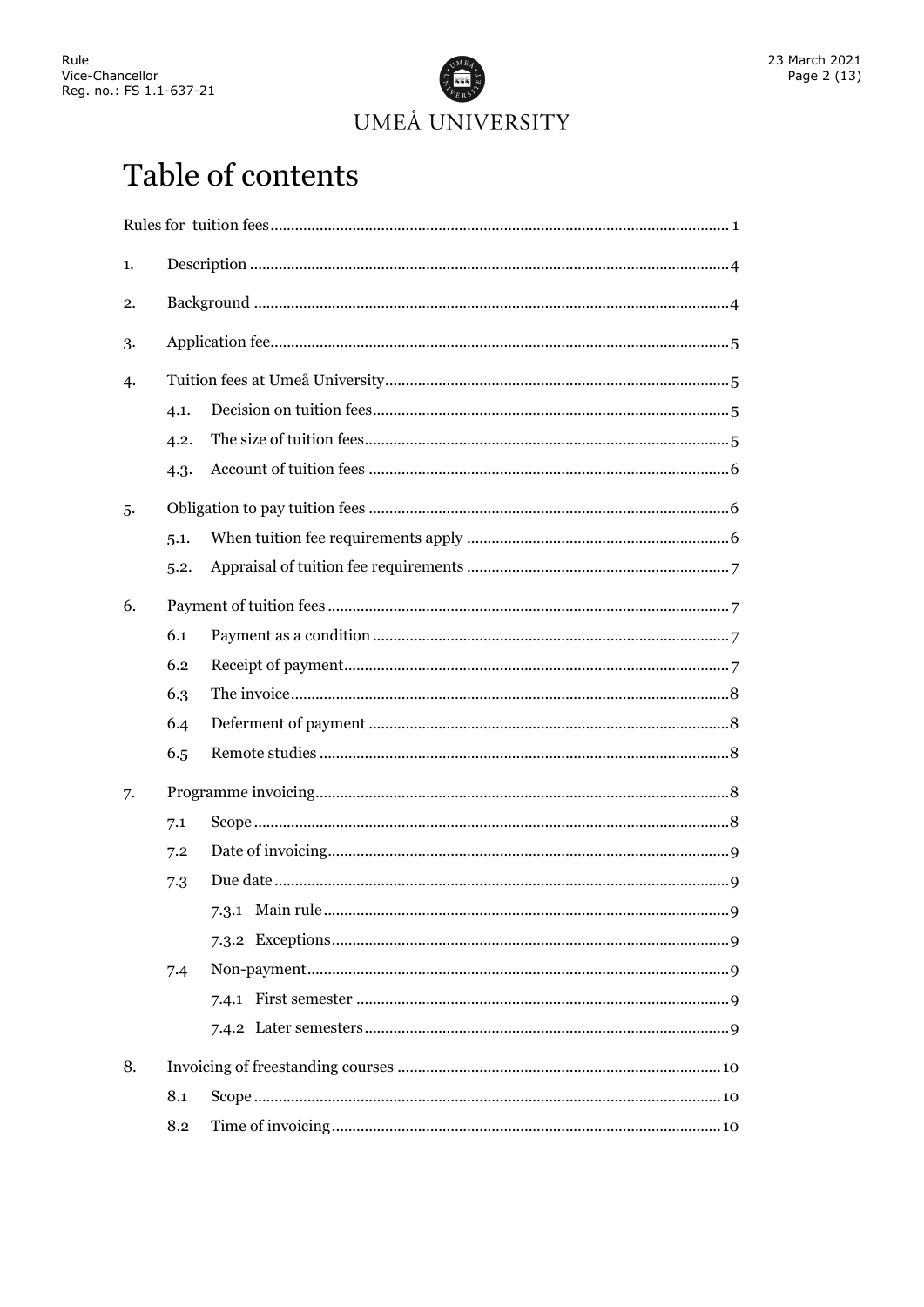

## Table of contents

| 1. |      |   |  |
|----|------|---|--|
| 2. |      |   |  |
| 3. |      |   |  |
| 4. |      |   |  |
|    | 4.1. |   |  |
|    | 4.2. |   |  |
|    | 4.3. |   |  |
| 5. |      |   |  |
|    | 5.1. |   |  |
|    | 5.2. |   |  |
| 6. |      |   |  |
|    | 6.1  |   |  |
|    | 6.2  |   |  |
|    | 6.3  |   |  |
|    | 6.4  |   |  |
|    | 6.5  |   |  |
| 7. |      |   |  |
|    | 7.1  |   |  |
|    | 7.2  |   |  |
|    | 7.3  |   |  |
|    |      | 9 |  |
|    |      |   |  |
|    | 7.4  |   |  |
|    |      |   |  |
|    |      |   |  |
| 8. |      |   |  |
|    | 8.1  |   |  |
|    | 8.2  |   |  |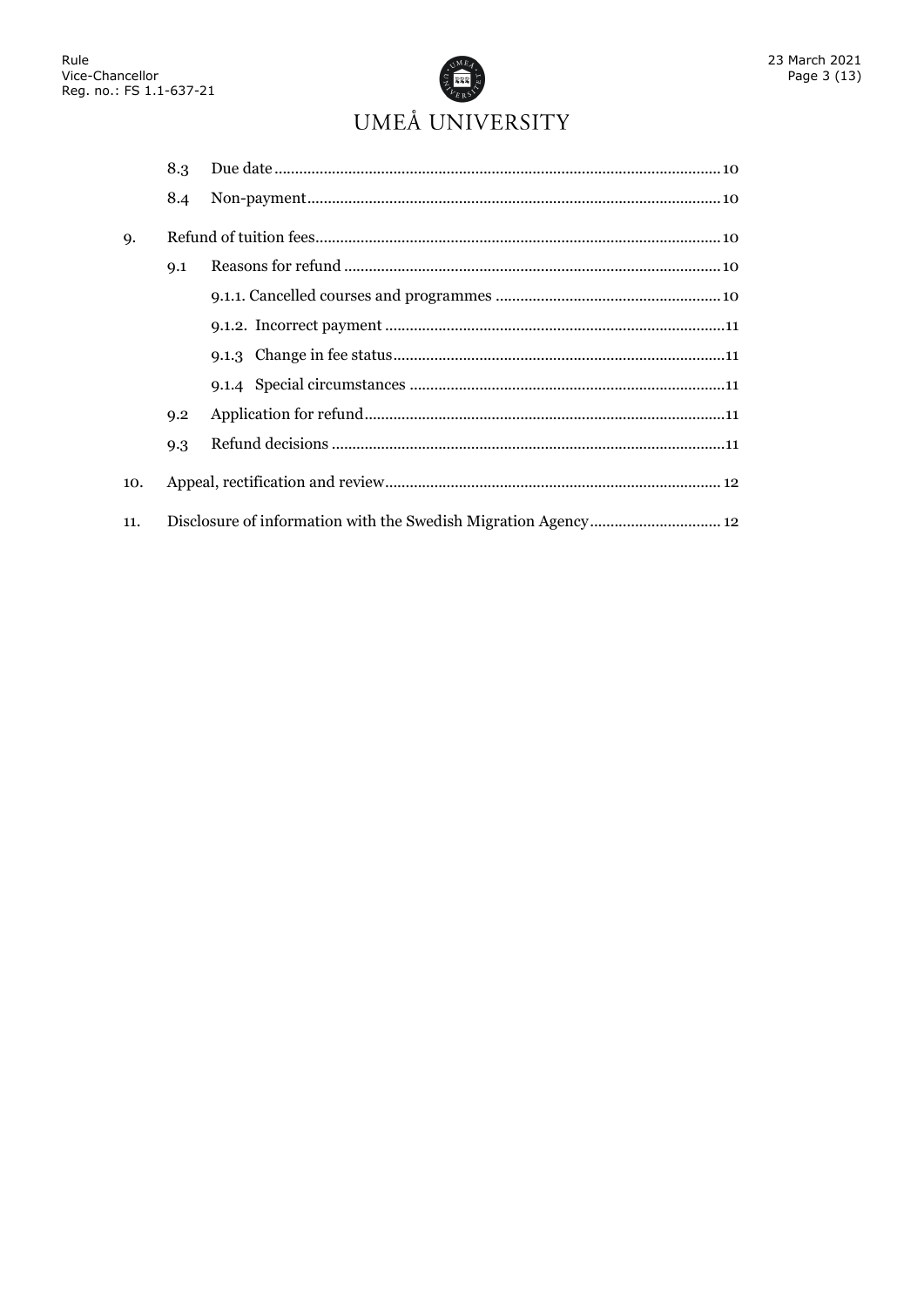

|           | 8.3                                                            |  |  |
|-----------|----------------------------------------------------------------|--|--|
|           | 8.4                                                            |  |  |
| <b>Q.</b> |                                                                |  |  |
|           | 9.1                                                            |  |  |
|           |                                                                |  |  |
|           |                                                                |  |  |
|           |                                                                |  |  |
|           |                                                                |  |  |
|           | 9.2                                                            |  |  |
|           | 9.3                                                            |  |  |
| 10.       |                                                                |  |  |
| 11.       | Disclosure of information with the Swedish Migration Agency 12 |  |  |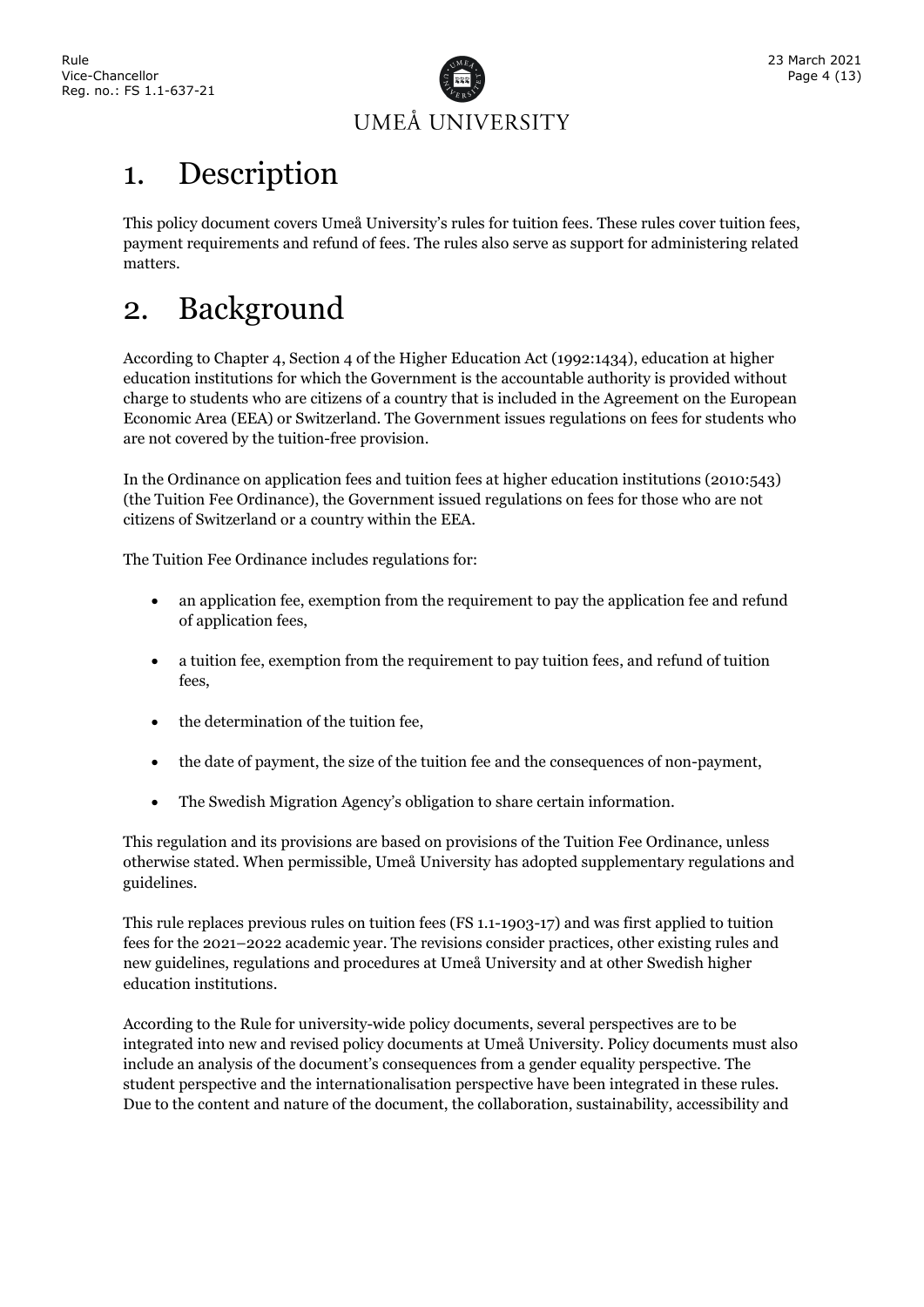

## <span id="page-3-0"></span>1. Description

This policy document covers Umeå University's rules for tuition fees. These rules cover tuition fees, payment requirements and refund of fees. The rules also serve as support for administering related matters.

## <span id="page-3-1"></span>2. Background

According to Chapter 4, Section 4 of the Higher Education Act (1992:1434), education at higher education institutions for which the Government is the accountable authority is provided without charge to students who are citizens of a country that is included in the Agreement on the European Economic Area (EEA) or Switzerland. The Government issues regulations on fees for students who are not covered by the tuition-free provision.

In the Ordinance on application fees and tuition fees at higher education institutions (2010:543) (the Tuition Fee Ordinance), the Government issued regulations on fees for those who are not citizens of Switzerland or a country within the EEA.

The Tuition Fee Ordinance includes regulations for:

- an application fee, exemption from the requirement to pay the application fee and refund of application fees,
- a tuition fee, exemption from the requirement to pay tuition fees, and refund of tuition fees,
- the determination of the tuition fee,
- the date of payment, the size of the tuition fee and the consequences of non-payment,
- The Swedish Migration Agency's obligation to share certain information.

This regulation and its provisions are based on provisions of the Tuition Fee Ordinance, unless otherwise stated. When permissible, Umeå University has adopted supplementary regulations and guidelines.

This rule replaces previous rules on tuition fees (FS 1.1-1903-17) and was first applied to tuition fees for the 2021–2022 academic year. The revisions consider practices, other existing rules and new guidelines, regulations and procedures at Umeå University and at other Swedish higher education institutions.

According to the Rule for university-wide policy documents, several perspectives are to be integrated into new and revised policy documents at Umeå University. Policy documents must also include an analysis of the document's consequences from a gender equality perspective. The student perspective and the internationalisation perspective have been integrated in these rules. Due to the content and nature of the document, the collaboration, sustainability, accessibility and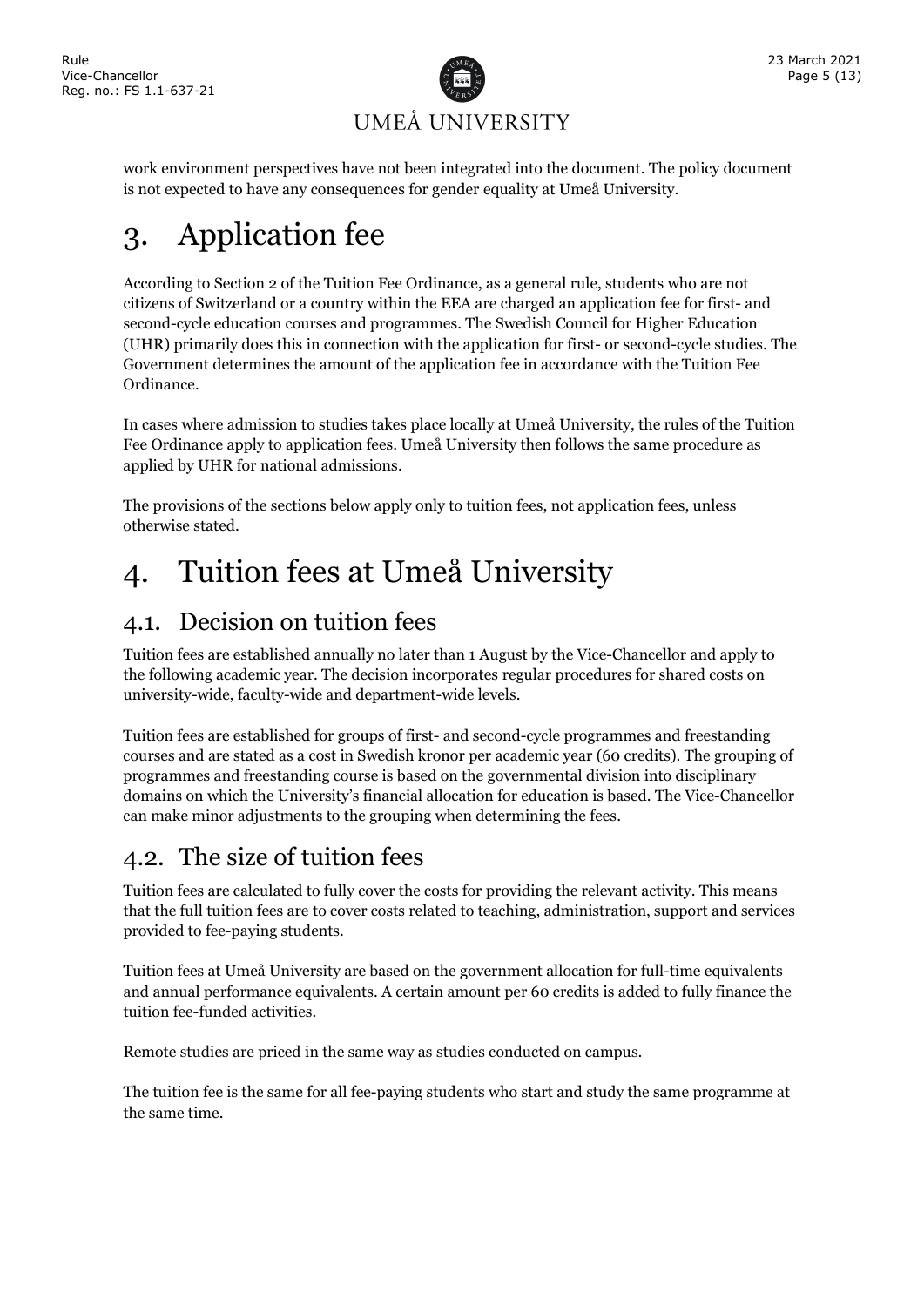

work environment perspectives have not been integrated into the document. The policy document is not expected to have any consequences for gender equality at Umeå University.

## <span id="page-4-0"></span>3. Application fee

According to Section 2 of the Tuition Fee Ordinance, as a general rule, students who are not citizens of Switzerland or a country within the EEA are charged an application fee for first- and second-cycle education courses and programmes. The Swedish Council for Higher Education (UHR) primarily does this in connection with the application for first- or second-cycle studies. The Government determines the amount of the application fee in accordance with the Tuition Fee Ordinance.

In cases where admission to studies takes place locally at Umeå University, the rules of the Tuition Fee Ordinance apply to application fees. Umeå University then follows the same procedure as applied by UHR for national admissions.

The provisions of the sections below apply only to tuition fees, not application fees, unless otherwise stated.

## <span id="page-4-1"></span>4. Tuition fees at Umeå University

### <span id="page-4-2"></span>4.1. Decision on tuition fees

Tuition fees are established annually no later than 1 August by the Vice-Chancellor and apply to the following academic year. The decision incorporates regular procedures for shared costs on university-wide, faculty-wide and department-wide levels.

Tuition fees are established for groups of first- and second-cycle programmes and freestanding courses and are stated as a cost in Swedish kronor per academic year (60 credits). The grouping of programmes and freestanding course is based on the governmental division into disciplinary domains on which the University's financial allocation for education is based. The Vice-Chancellor can make minor adjustments to the grouping when determining the fees.

### <span id="page-4-3"></span>4.2. The size of tuition fees

Tuition fees are calculated to fully cover the costs for providing the relevant activity. This means that the full tuition fees are to cover costs related to teaching, administration, support and services provided to fee-paying students.

Tuition fees at Umeå University are based on the government allocation for full-time equivalents and annual performance equivalents. A certain amount per 60 credits is added to fully finance the tuition fee-funded activities.

Remote studies are priced in the same way as studies conducted on campus.

The tuition fee is the same for all fee-paying students who start and study the same programme at the same time.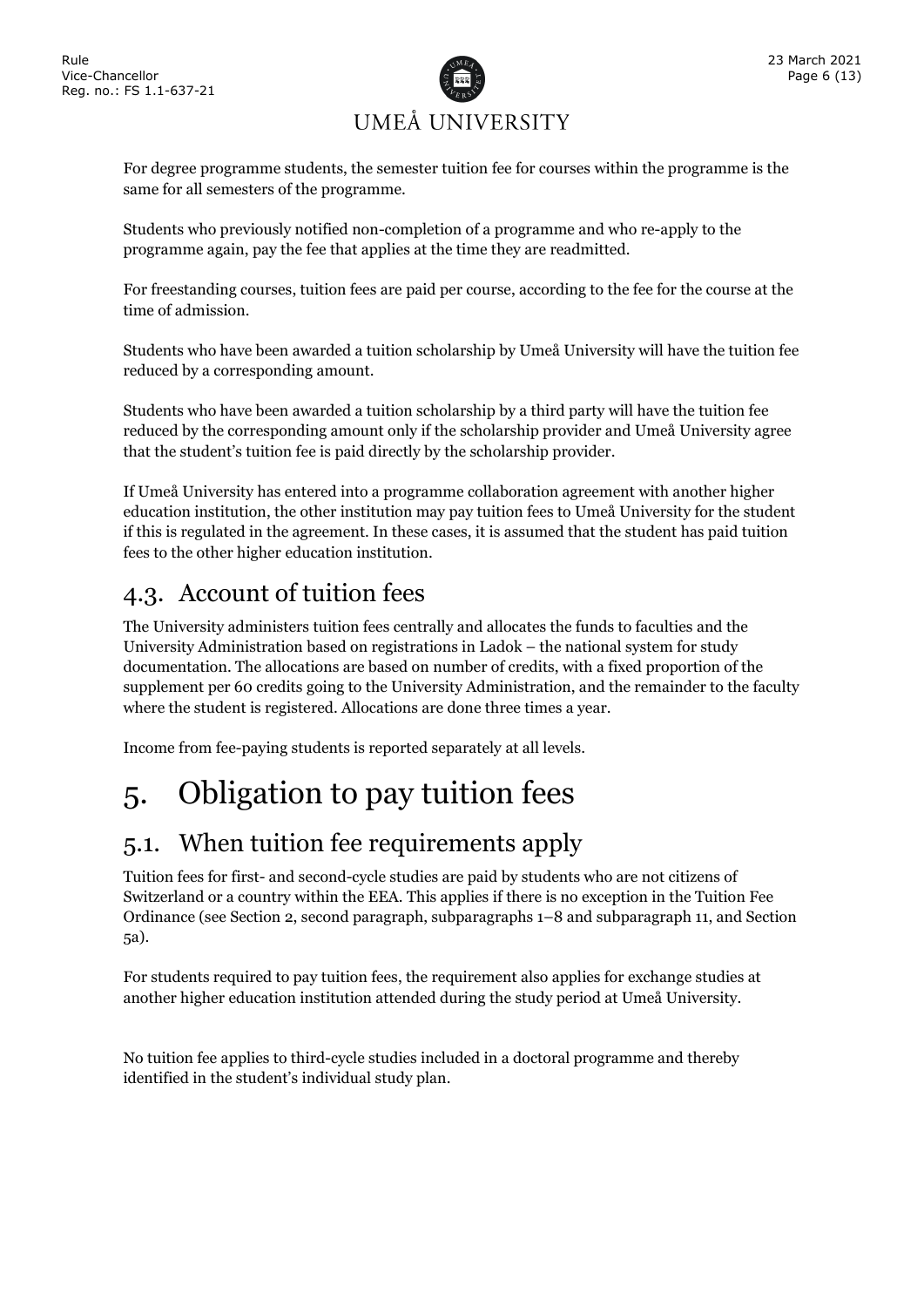

For degree programme students, the semester tuition fee for courses within the programme is the same for all semesters of the programme.

Students who previously notified non-completion of a programme and who re-apply to the programme again, pay the fee that applies at the time they are readmitted.

For freestanding courses, tuition fees are paid per course, according to the fee for the course at the time of admission.

Students who have been awarded a tuition scholarship by Umeå University will have the tuition fee reduced by a corresponding amount.

Students who have been awarded a tuition scholarship by a third party will have the tuition fee reduced by the corresponding amount only if the scholarship provider and Umeå University agree that the student's tuition fee is paid directly by the scholarship provider.

If Umeå University has entered into a programme collaboration agreement with another higher education institution, the other institution may pay tuition fees to Umeå University for the student if this is regulated in the agreement. In these cases, it is assumed that the student has paid tuition fees to the other higher education institution.

### <span id="page-5-0"></span>4.3. Account of tuition fees

The University administers tuition fees centrally and allocates the funds to faculties and the University Administration based on registrations in Ladok – the national system for study documentation. The allocations are based on number of credits, with a fixed proportion of the supplement per 60 credits going to the University Administration, and the remainder to the faculty where the student is registered. Allocations are done three times a year.

Income from fee-paying students is reported separately at all levels.

## <span id="page-5-1"></span>5. Obligation to pay tuition fees

### <span id="page-5-2"></span>5.1. When tuition fee requirements apply

Tuition fees for first- and second-cycle studies are paid by students who are not citizens of Switzerland or a country within the EEA. This applies if there is no exception in the Tuition Fee Ordinance (see Section 2, second paragraph, subparagraphs 1–8 and subparagraph 11, and Section 5a).

For students required to pay tuition fees, the requirement also applies for exchange studies at another higher education institution attended during the study period at Umeå University.

No tuition fee applies to third-cycle studies included in a doctoral programme and thereby identified in the student's individual study plan.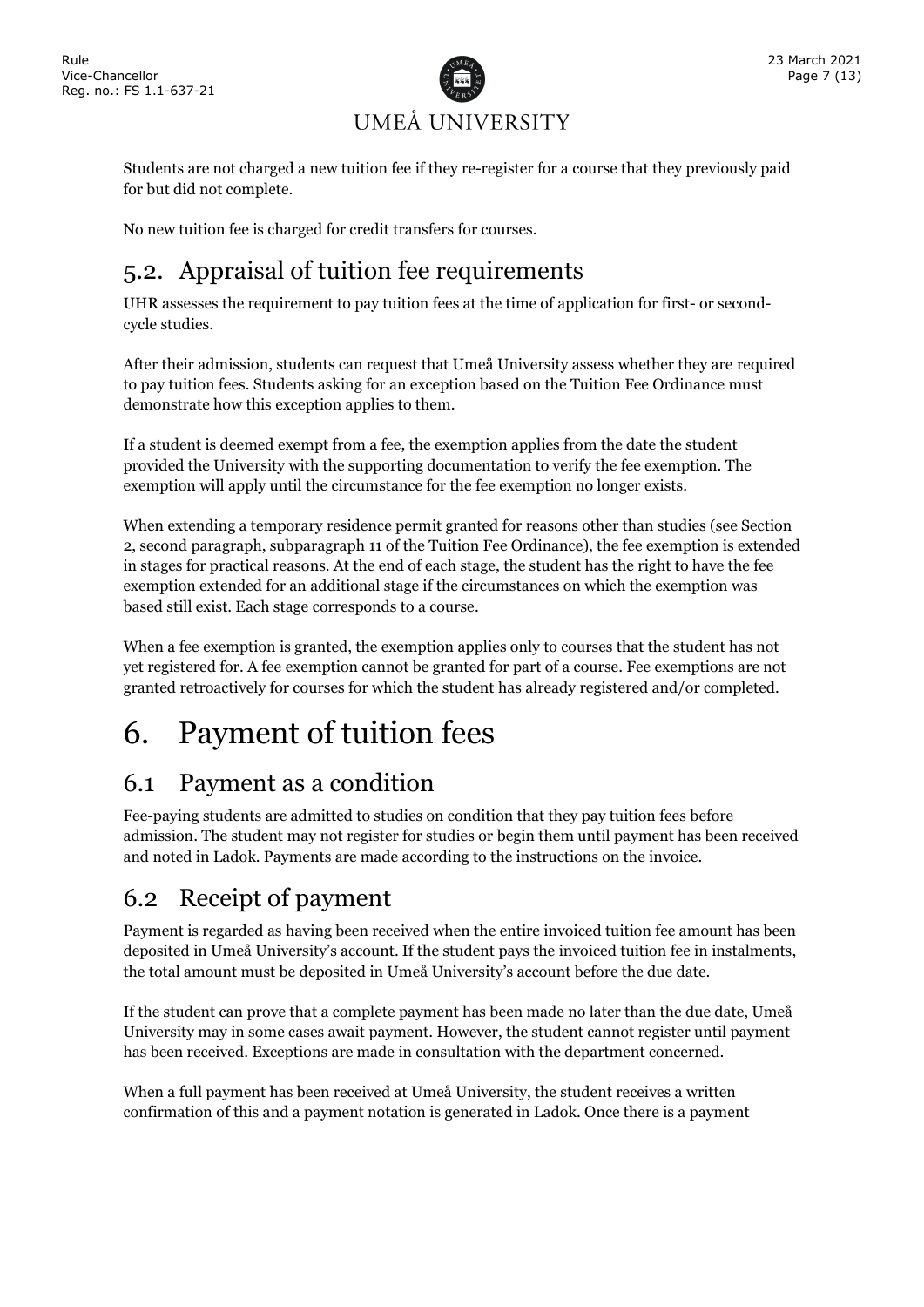

Students are not charged a new tuition fee if they re-register for a course that they previously paid for but did not complete.

No new tuition fee is charged for credit transfers for courses.

### <span id="page-6-0"></span>5.2. Appraisal of tuition fee requirements

UHR assesses the requirement to pay tuition fees at the time of application for first- or secondcycle studies.

After their admission, students can request that Umeå University assess whether they are required to pay tuition fees. Students asking for an exception based on the Tuition Fee Ordinance must demonstrate how this exception applies to them.

If a student is deemed exempt from a fee, the exemption applies from the date the student provided the University with the supporting documentation to verify the fee exemption. The exemption will apply until the circumstance for the fee exemption no longer exists.

When extending a temporary residence permit granted for reasons other than studies (see Section 2, second paragraph, subparagraph 11 of the Tuition Fee Ordinance), the fee exemption is extended in stages for practical reasons. At the end of each stage, the student has the right to have the fee exemption extended for an additional stage if the circumstances on which the exemption was based still exist. Each stage corresponds to a course.

When a fee exemption is granted, the exemption applies only to courses that the student has not yet registered for. A fee exemption cannot be granted for part of a course. Fee exemptions are not granted retroactively for courses for which the student has already registered and/or completed.

## <span id="page-6-1"></span>6. Payment of tuition fees

### <span id="page-6-2"></span>6.1 Payment as a condition

Fee-paying students are admitted to studies on condition that they pay tuition fees before admission. The student may not register for studies or begin them until payment has been received and noted in Ladok. Payments are made according to the instructions on the invoice.

### <span id="page-6-3"></span>6.2 Receipt of payment

Payment is regarded as having been received when the entire invoiced tuition fee amount has been deposited in Umeå University's account. If the student pays the invoiced tuition fee in instalments, the total amount must be deposited in Umeå University's account before the due date.

If the student can prove that a complete payment has been made no later than the due date, Umeå University may in some cases await payment. However, the student cannot register until payment has been received. Exceptions are made in consultation with the department concerned.

When a full payment has been received at Umeå University, the student receives a written confirmation of this and a payment notation is generated in Ladok. Once there is a payment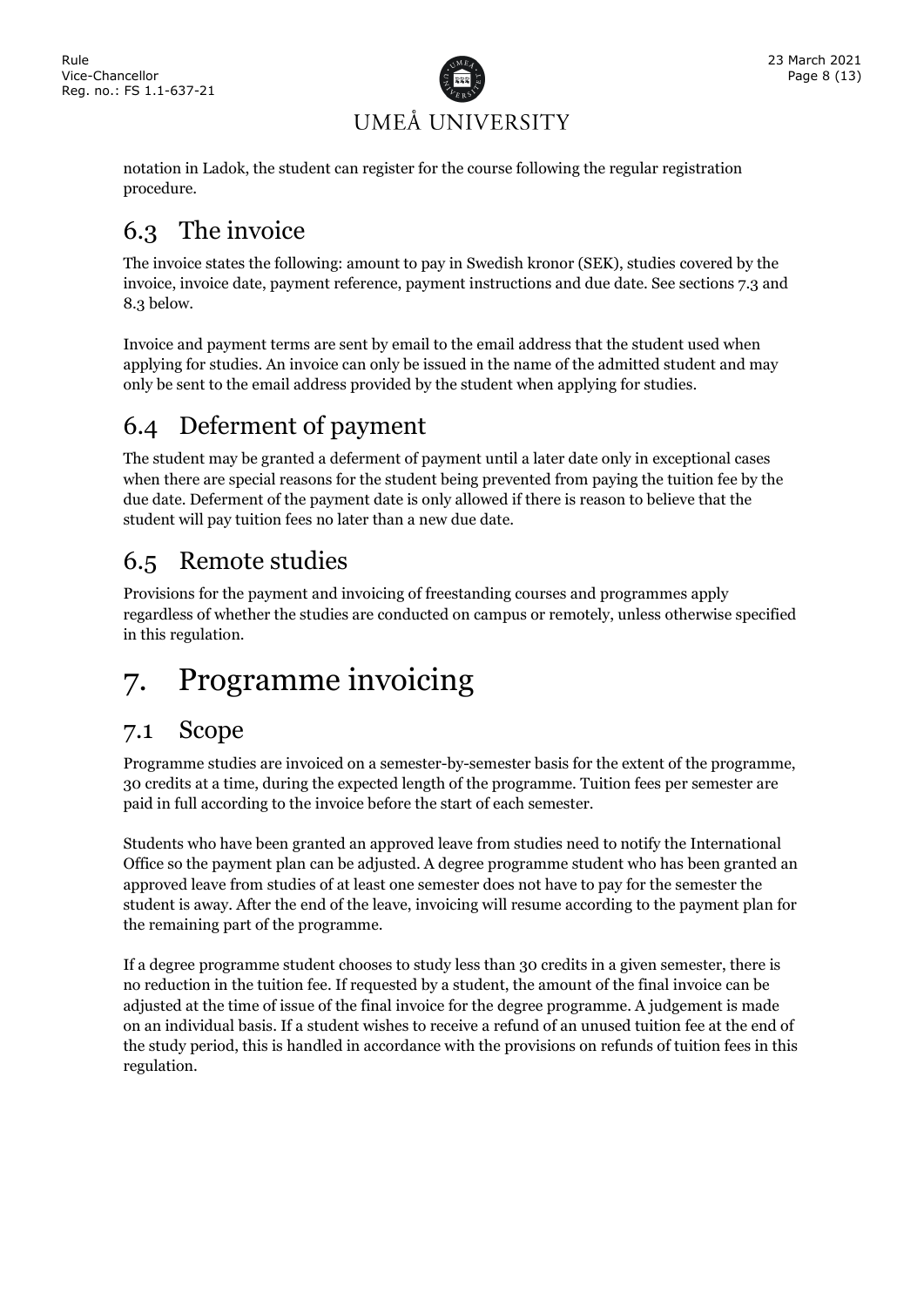

notation in Ladok, the student can register for the course following the regular registration procedure.

### <span id="page-7-0"></span>6.3 The invoice

The invoice states the following: amount to pay in Swedish kronor (SEK), studies covered by the invoice, invoice date, payment reference, payment instructions and due date. See sections 7.3 and 8.3 below.

Invoice and payment terms are sent by email to the email address that the student used when applying for studies. An invoice can only be issued in the name of the admitted student and may only be sent to the email address provided by the student when applying for studies.

### <span id="page-7-1"></span>6.4 Deferment of payment

The student may be granted a deferment of payment until a later date only in exceptional cases when there are special reasons for the student being prevented from paying the tuition fee by the due date. Deferment of the payment date is only allowed if there is reason to believe that the student will pay tuition fees no later than a new due date.

### <span id="page-7-2"></span>6.5 Remote studies

Provisions for the payment and invoicing of freestanding courses and programmes apply regardless of whether the studies are conducted on campus or remotely, unless otherwise specified in this regulation.

## <span id="page-7-3"></span>7. Programme invoicing

### <span id="page-7-4"></span>7.1 Scope

Programme studies are invoiced on a semester-by-semester basis for the extent of the programme, 30 credits at a time, during the expected length of the programme. Tuition fees per semester are paid in full according to the invoice before the start of each semester.

Students who have been granted an approved leave from studies need to notify the International Office so the payment plan can be adjusted. A degree programme student who has been granted an approved leave from studies of at least one semester does not have to pay for the semester the student is away. After the end of the leave, invoicing will resume according to the payment plan for the remaining part of the programme.

If a degree programme student chooses to study less than 30 credits in a given semester, there is no reduction in the tuition fee. If requested by a student, the amount of the final invoice can be adjusted at the time of issue of the final invoice for the degree programme. A judgement is made on an individual basis. If a student wishes to receive a refund of an unused tuition fee at the end of the study period, this is handled in accordance with the provisions on refunds of tuition fees in this regulation.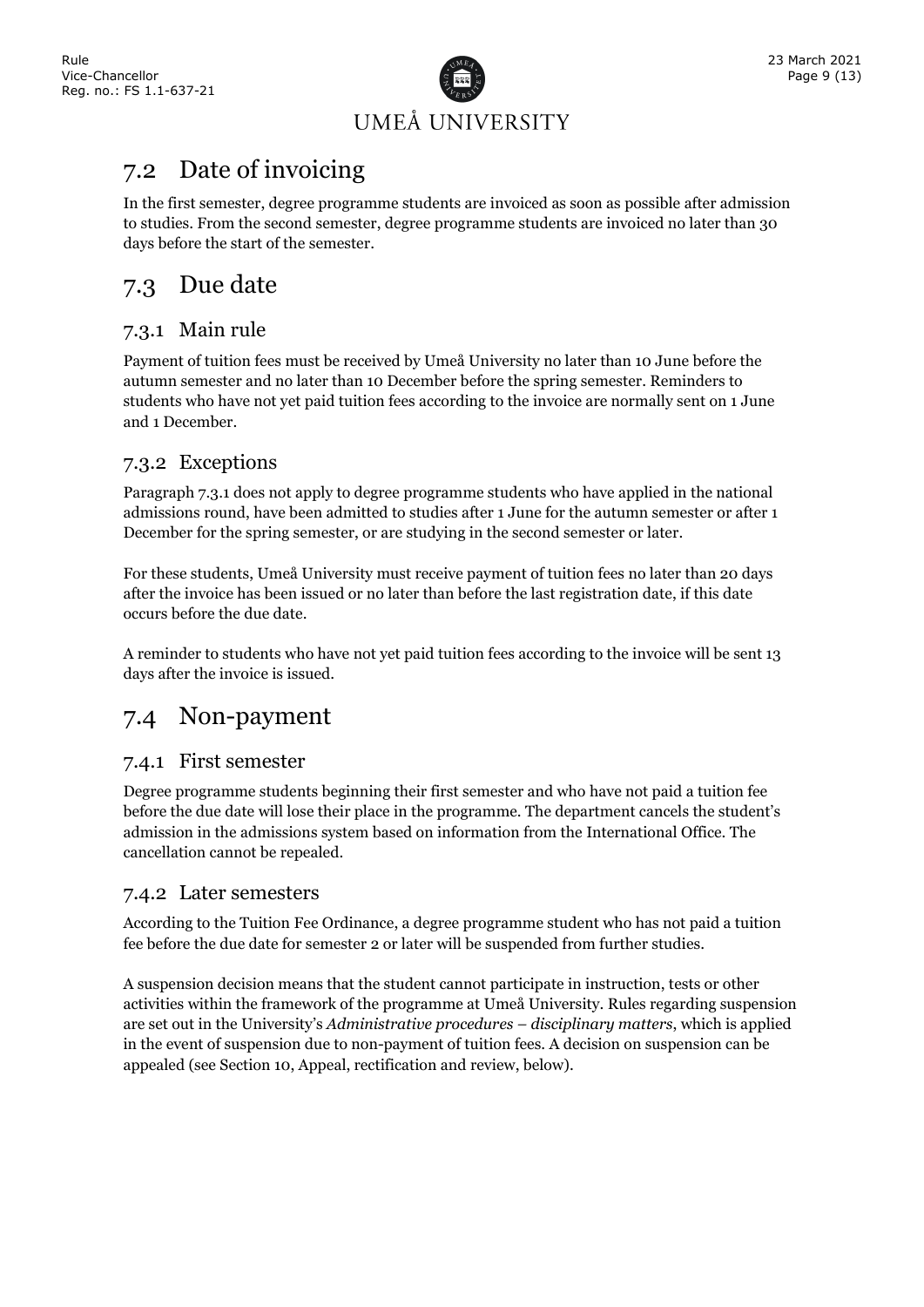

### <span id="page-8-0"></span>7.2 Date of invoicing

In the first semester, degree programme students are invoiced as soon as possible after admission to studies. From the second semester, degree programme students are invoiced no later than 30 days before the start of the semester.

### <span id="page-8-1"></span>7.3 Due date

#### <span id="page-8-2"></span>7.3.1 Main rule

Payment of tuition fees must be received by Umeå University no later than 10 June before the autumn semester and no later than 10 December before the spring semester. Reminders to students who have not yet paid tuition fees according to the invoice are normally sent on 1 June and 1 December.

#### <span id="page-8-3"></span>7.3.2 Exceptions

Paragraph 7.3.1 does not apply to degree programme students who have applied in the national admissions round, have been admitted to studies after 1 June for the autumn semester or after 1 December for the spring semester, or are studying in the second semester or later.

For these students, Umeå University must receive payment of tuition fees no later than 20 days after the invoice has been issued or no later than before the last registration date, if this date occurs before the due date.

A reminder to students who have not yet paid tuition fees according to the invoice will be sent 13 days after the invoice is issued.

### <span id="page-8-4"></span>7.4 Non-payment

#### <span id="page-8-5"></span>7.4.1 First semester

Degree programme students beginning their first semester and who have not paid a tuition fee before the due date will lose their place in the programme. The department cancels the student's admission in the admissions system based on information from the International Office. The cancellation cannot be repealed.

#### <span id="page-8-6"></span>7.4.2 Later semesters

According to the Tuition Fee Ordinance, a degree programme student who has not paid a tuition fee before the due date for semester 2 or later will be suspended from further studies.

A suspension decision means that the student cannot participate in instruction, tests or other activities within the framework of the programme at Umeå University. Rules regarding suspension are set out in the University's *Administrative procedures – disciplinary matters*, which is applied in the event of suspension due to non-payment of tuition fees. A decision on suspension can be appealed (see Section 10, Appeal, rectification and review, below).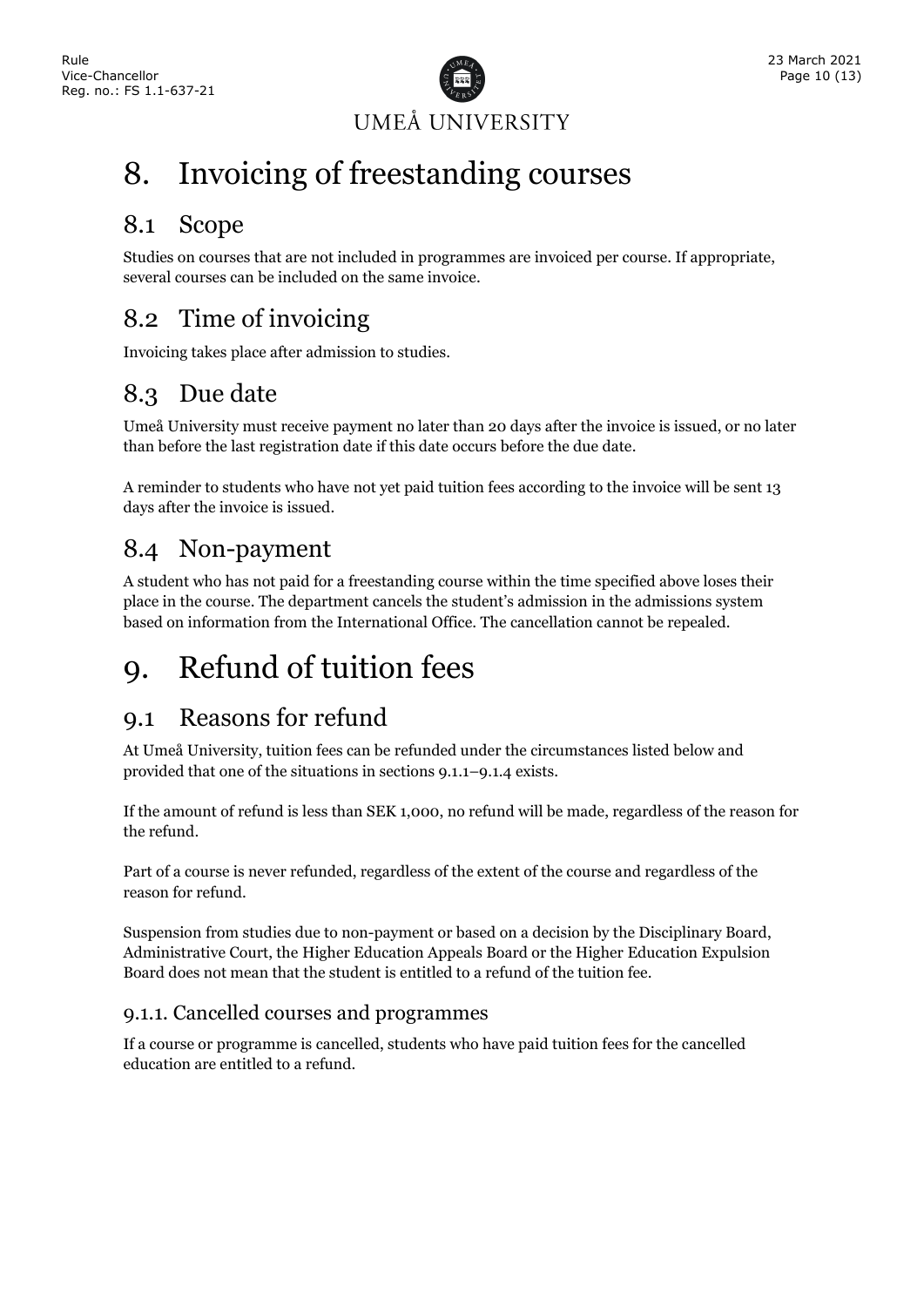

## <span id="page-9-0"></span>8. Invoicing of freestanding courses

### <span id="page-9-1"></span>8.1 Scope

Studies on courses that are not included in programmes are invoiced per course. If appropriate, several courses can be included on the same invoice.

### <span id="page-9-2"></span>8.2 Time of invoicing

Invoicing takes place after admission to studies.

### <span id="page-9-3"></span>8.3 Due date

Umeå University must receive payment no later than 20 days after the invoice is issued, or no later than before the last registration date if this date occurs before the due date.

A reminder to students who have not yet paid tuition fees according to the invoice will be sent 13 days after the invoice is issued.

### <span id="page-9-4"></span>8.4 Non-payment

A student who has not paid for a freestanding course within the time specified above loses their place in the course. The department cancels the student's admission in the admissions system based on information from the International Office. The cancellation cannot be repealed.

## <span id="page-9-5"></span>9. Refund of tuition fees

### <span id="page-9-6"></span>9.1 Reasons for refund

At Umeå University, tuition fees can be refunded under the circumstances listed below and provided that one of the situations in sections 9.1.1–9.1.4 exists.

If the amount of refund is less than SEK 1,000, no refund will be made, regardless of the reason for the refund.

Part of a course is never refunded, regardless of the extent of the course and regardless of the reason for refund.

Suspension from studies due to non-payment or based on a decision by the Disciplinary Board, Administrative Court, the Higher Education Appeals Board or the Higher Education Expulsion Board does not mean that the student is entitled to a refund of the tuition fee.

#### <span id="page-9-7"></span>9.1.1. Cancelled courses and programmes

If a course or programme is cancelled, students who have paid tuition fees for the cancelled education are entitled to a refund.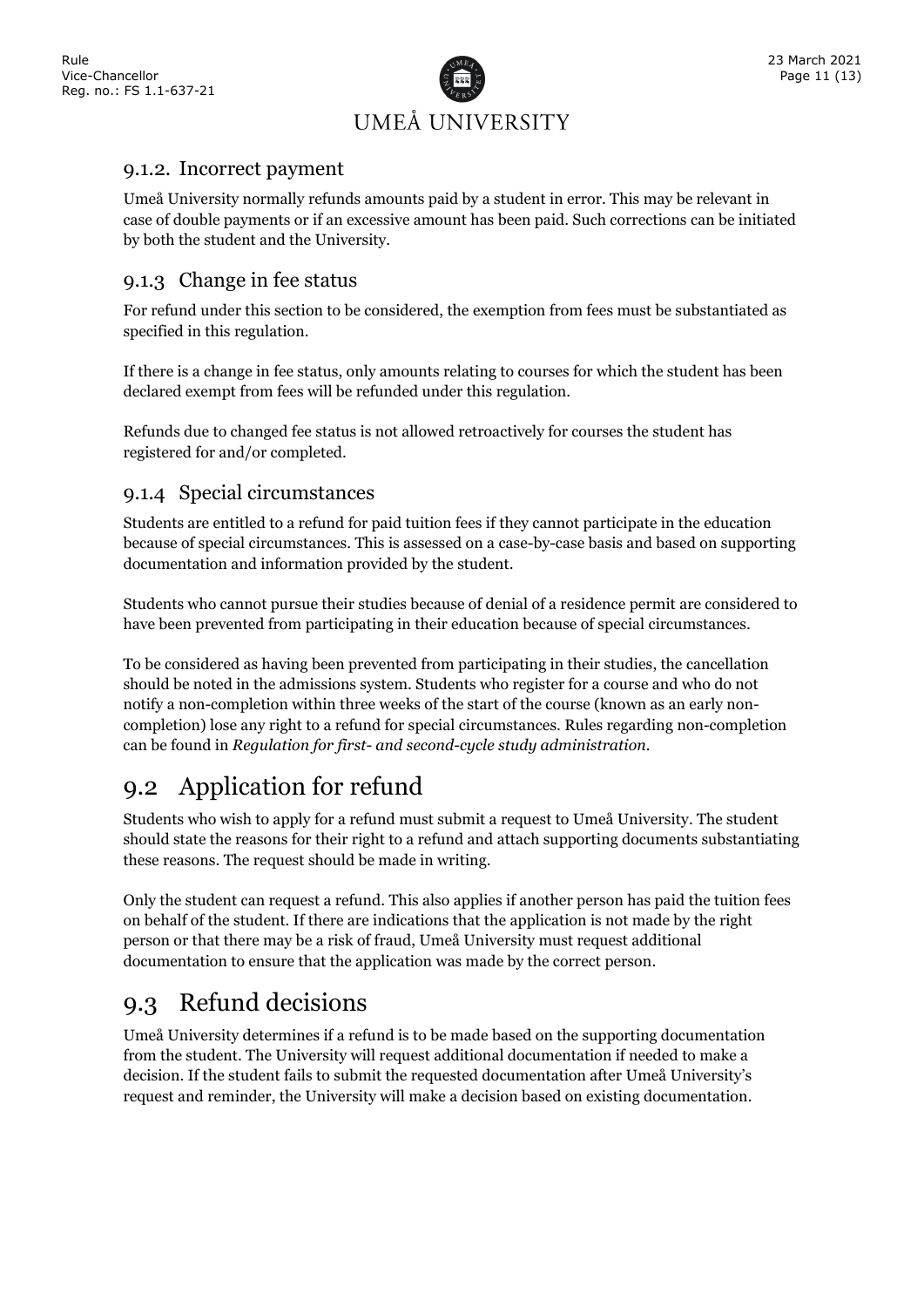

#### <span id="page-10-0"></span>9.1.2. Incorrect payment

Umeå University normally refunds amounts paid by a student in error. This may be relevant in case of double payments or if an excessive amount has been paid. Such corrections can be initiated by both the student and the University.

#### <span id="page-10-1"></span>9.1.3 Change in fee status

For refund under this section to be considered, the exemption from fees must be substantiated as specified in this regulation.

If there is a change in fee status, only amounts relating to courses for which the student has been declared exempt from fees will be refunded under this regulation.

Refunds due to changed fee status is not allowed retroactively for courses the student has registered for and/or completed.

#### <span id="page-10-2"></span>9.1.4 Special circumstances

Students are entitled to a refund for paid tuition fees if they cannot participate in the education because of special circumstances. This is assessed on a case-by-case basis and based on supporting documentation and information provided by the student.

Students who cannot pursue their studies because of denial of a residence permit are considered to have been prevented from participating in their education because of special circumstances.

To be considered as having been prevented from participating in their studies, the cancellation should be noted in the admissions system. Students who register for a course and who do not notify a non-completion within three weeks of the start of the course (known as an early noncompletion) lose any right to a refund for special circumstances. Rules regarding non-completion can be found in *Regulation for first- and second-cycle study administration*.

### <span id="page-10-3"></span>9.2 Application for refund

Students who wish to apply for a refund must submit a request to Umeå University. The student should state the reasons for their right to a refund and attach supporting documents substantiating these reasons. The request should be made in writing.

Only the student can request a refund. This also applies if another person has paid the tuition fees on behalf of the student. If there are indications that the application is not made by the right person or that there may be a risk of fraud, Umeå University must request additional documentation to ensure that the application was made by the correct person.

### <span id="page-10-4"></span>9.3 Refund decisions

Umeå University determines if a refund is to be made based on the supporting documentation from the student. The University will request additional documentation if needed to make a decision. If the student fails to submit the requested documentation after Umeå University's request and reminder, the University will make a decision based on existing documentation.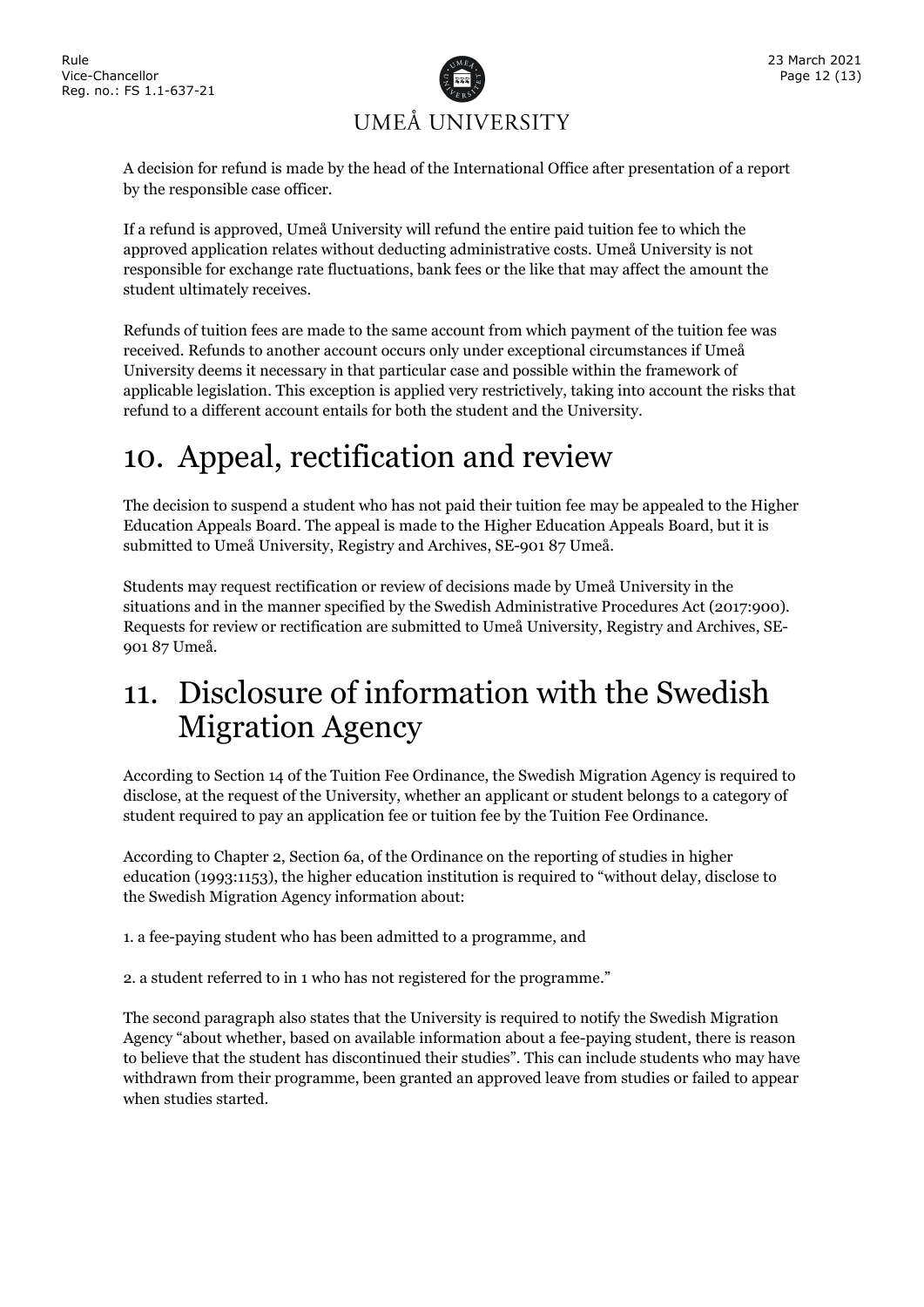

A decision for refund is made by the head of the International Office after presentation of a report by the responsible case officer.

If a refund is approved, Umeå University will refund the entire paid tuition fee to which the approved application relates without deducting administrative costs. Umeå University is not responsible for exchange rate fluctuations, bank fees or the like that may affect the amount the student ultimately receives.

Refunds of tuition fees are made to the same account from which payment of the tuition fee was received. Refunds to another account occurs only under exceptional circumstances if Umeå University deems it necessary in that particular case and possible within the framework of applicable legislation. This exception is applied very restrictively, taking into account the risks that refund to a different account entails for both the student and the University.

## <span id="page-11-0"></span>10. Appeal, rectification and review

The decision to suspend a student who has not paid their tuition fee may be appealed to the Higher Education Appeals Board. The appeal is made to the Higher Education Appeals Board, but it is submitted to Umeå University, Registry and Archives, SE-901 87 Umeå.

Students may request rectification or review of decisions made by Umeå University in the situations and in the manner specified by the Swedish Administrative Procedures Act (2017:900). Requests for review or rectification are submitted to Umeå University, Registry and Archives, SE-901 87 Umeå.

## <span id="page-11-1"></span>11. Disclosure of information with the Swedish Migration Agency

According to Section 14 of the Tuition Fee Ordinance, the Swedish Migration Agency is required to disclose, at the request of the University, whether an applicant or student belongs to a category of student required to pay an application fee or tuition fee by the Tuition Fee Ordinance.

According to Chapter 2, Section 6a, of the Ordinance on the reporting of studies in higher education (1993:1153), the higher education institution is required to "without delay, disclose to the Swedish Migration Agency information about:

1. a fee-paying student who has been admitted to a programme, and

2. a student referred to in 1 who has not registered for the programme."

The second paragraph also states that the University is required to notify the Swedish Migration Agency "about whether, based on available information about a fee-paying student, there is reason to believe that the student has discontinued their studies". This can include students who may have withdrawn from their programme, been granted an approved leave from studies or failed to appear when studies started.